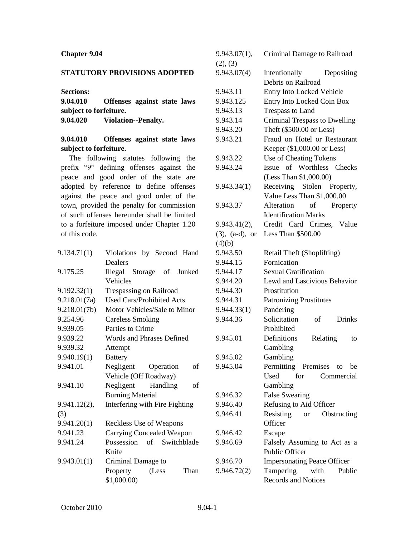## **Chapter 9.04**

## **STATUTORY PROVISIONS ADOPTED**

**Sections:**

**9.04.010 Offenses against state laws subject to forfeiture. 9.04.020 Violation--Penalty.**

## **9.04.010 Offenses against state laws subject to forfeiture.**

The following statutes following the prefix "9" defining offenses against the peace and good order of the state are adopted by reference to define offenses against the peace and good order of the town, provided the penalty for commission of such offenses hereunder shall be limited to a forfeiture imposed under Chapter 1.20 of this code.

| 9.134.71(1)  | Violations by Second Hand        | S |
|--------------|----------------------------------|---|
|              | Dealers                          | ç |
| 9.175.25     | Illegal Storage of Junked        | S |
|              | Vehicles                         | ç |
| 9.192.32(1)  | Trespassing on Railroad          | ç |
| 9.218.01(7a) | <b>Used Cars/Prohibited Acts</b> | ç |
| 9.218.01(7b) | Motor Vehicles/Sale to Minor     | S |
| 9.254.96     | <b>Careless Smoking</b>          | ç |
| 9.939.05     | Parties to Crime                 |   |
| 9.939.22     | Words and Phrases Defined        | S |
| 9.939.32     | Attempt                          |   |
| 9.940.19(1)  | <b>Battery</b>                   | S |
| 9.941.01     | Negligent<br>Operation<br>of     | S |
|              | Vehicle (Off Roadway)            |   |
| 9.941.10     | Negligent<br>Handling<br>of      |   |
|              | <b>Burning Material</b>          | ç |
| 9.941.12(2), | Interfering with Fire Fighting   | ç |
| (3)          |                                  | ç |
| 9.941.20(1)  | Reckless Use of Weapons          |   |
| 9.941.23     | Carrying Concealed Weapon        | ç |
| 9.941.24     | Possession of Switchblade        | ç |
|              | Knife                            |   |
| 9.943.01(1)  | Criminal Damage to               | S |
|              | (Less<br>Property<br>Than        | ç |
|              | \$1,000.00                       |   |

| 9.943.07(1),         | Criminal Damage to Railroad          |
|----------------------|--------------------------------------|
| (2), (3)             |                                      |
| 9.943.07(4)          | Intentionally<br>Depositing          |
|                      | Debris on Railroad                   |
| 9.943.11             | <b>Entry Into Locked Vehicle</b>     |
| 9.943.125            | Entry Into Locked Coin Box           |
| 9.943.13             | <b>Trespass to Land</b>              |
| 9.943.14             | <b>Criminal Trespass to Dwelling</b> |
| 9.943.20             | Theft (\$500.00 or Less)             |
| 9.943.21             | Fraud on Hotel or Restaurant         |
|                      | Keeper (\$1,000.00 or Less)          |
| 9.943.22             | Use of Cheating Tokens               |
| 9.943.24             | Issue of Worthless Checks            |
|                      | (Less Than \$1,000.00)               |
| 9.943.34(1)          | Receiving Stolen Property,           |
|                      | Value Less Than \$1,000.00           |
| 9.943.37             | Alteration<br>of Property            |
|                      | <b>Identification Marks</b>          |
| 9.943.41(2),         | Credit Card Crimes, Value            |
| $(3)$ , $(a-d)$ , or | Less Than \$500.00                   |
| (4)(b)               |                                      |
| 9.943.50             | Retail Theft (Shoplifting)           |
| 9.944.15             | Fornication                          |
| 9.944.17             | Sexual Gratification                 |
| 9.944.20             | Lewd and Lascivious Behavior         |
| 9.944.30             | Prostitution                         |
| 9.944.31             | <b>Patronizing Prostitutes</b>       |
| 9.944.33(1)          | Pandering                            |
| 9.944.36             | Solicitation<br><b>Drinks</b><br>of  |
|                      | Prohibited                           |
| 9.945.01             | Definitions<br>Relating<br>to        |
|                      | Gambling                             |
| 9.945.02             | Gambling                             |
| 9.945.04             | Permitting Premises to be            |
|                      | Used<br>for<br>Commercial            |
|                      | Gambling                             |
| 9.946.32             | <b>False Swearing</b>                |
| 9.946.40             | Refusing to Aid Officer              |
| 9.946.41             | Resisting or<br>Obstructing          |
|                      | Officer                              |
| 9.946.42             | Escape                               |
| 9.946.69             | Falsely Assuming to Act as a         |
|                      | <b>Public Officer</b>                |
| 9.946.70             | <b>Impersonating Peace Officer</b>   |
| 9.946.72(2)          | Tampering<br>with<br>Public          |
|                      | Records and Notices                  |